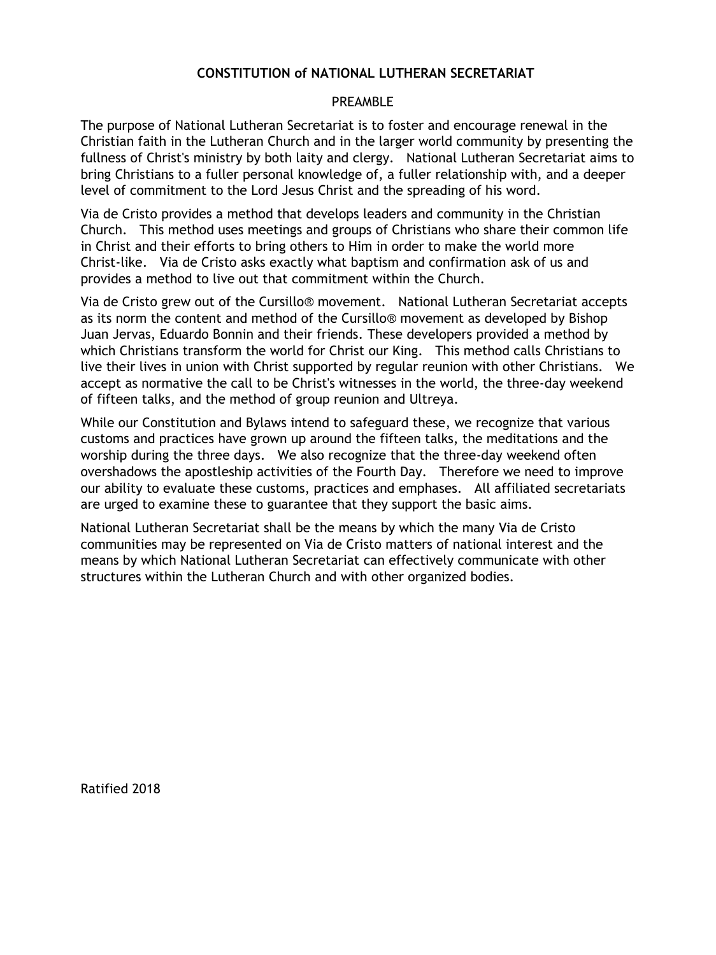#### **CONSTITUTION of NATIONAL LUTHERAN SECRETARIAT**

#### PRFAMBL<sub>F</sub>

The purpose of National Lutheran Secretariat is to foster and encourage renewal in the Christian faith in the Lutheran Church and in the larger world community by presenting the fullness of Christ's ministry by both laity and clergy. National Lutheran Secretariat aims to bring Christians to a fuller personal knowledge of, a fuller relationship with, and a deeper level of commitment to the Lord Jesus Christ and the spreading of his word.

Via de Cristo provides a method that develops leaders and community in the Christian Church. This method uses meetings and groups of Christians who share their common life in Christ and their efforts to bring others to Him in order to make the world more Christ-like. Via de Cristo asks exactly what baptism and confirmation ask of us and provides a method to live out that commitment within the Church.

Via de Cristo grew out of the Cursillo® movement. National Lutheran Secretariat accepts as its norm the content and method of the Cursillo® movement as developed by Bishop Juan Jervas, Eduardo Bonnin and their friends. These developers provided a method by which Christians transform the world for Christ our King. This method calls Christians to live their lives in union with Christ supported by regular reunion with other Christians. We accept as normative the call to be Christ's witnesses in the world, the three-day weekend of fifteen talks, and the method of group reunion and Ultreya.

While our Constitution and Bylaws intend to safeguard these, we recognize that various customs and practices have grown up around the fifteen talks, the meditations and the worship during the three days. We also recognize that the three-day weekend often overshadows the apostleship activities of the Fourth Day. Therefore we need to improve our ability to evaluate these customs, practices and emphases. All affiliated secretariats are urged to examine these to guarantee that they support the basic aims.

National Lutheran Secretariat shall be the means by which the many Via de Cristo communities may be represented on Via de Cristo matters of national interest and the means by which National Lutheran Secretariat can effectively communicate with other structures within the Lutheran Church and with other organized bodies.

Ratified 2018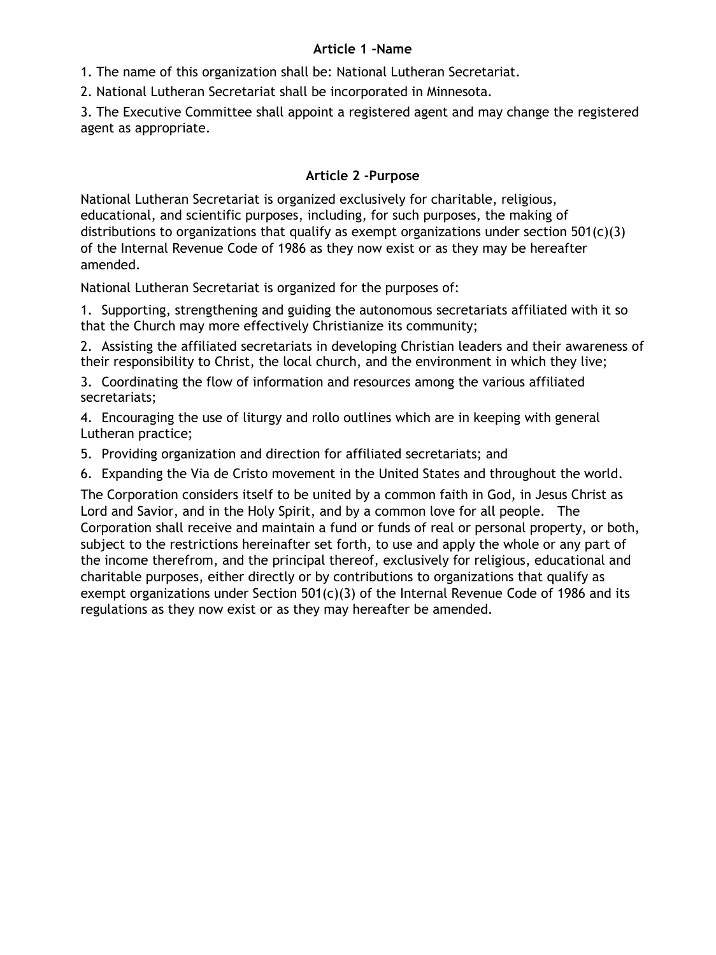#### **Article 1 -Name**

1. The name of this organization shall be: National Lutheran Secretariat.

2. National Lutheran Secretariat shall be incorporated in Minnesota.

3. The Executive Committee shall appoint a registered agent and may change the registered agent as appropriate.

#### **Article 2 -Purpose**

National Lutheran Secretariat is organized exclusively for charitable, religious, educational, and scientific purposes, including, for such purposes, the making of distributions to organizations that qualify as exempt organizations under section  $501(c)(3)$ of the Internal Revenue Code of 1986 as they now exist or as they may be hereafter amended.

National Lutheran Secretariat is organized for the purposes of:

1. Supporting, strengthening and guiding the autonomous secretariats affiliated with it so that the Church may more effectively Christianize its community;

2. Assisting the affiliated secretariats in developing Christian leaders and their awareness of their responsibility to Christ, the local church, and the environment in which they live;

3. Coordinating the flow of information and resources among the various affiliated secretariats;

4. Encouraging the use of liturgy and rollo outlines which are in keeping with general Lutheran practice;

5. Providing organization and direction for affiliated secretariats; and

6. Expanding the Via de Cristo movement in the United States and throughout the world.

The Corporation considers itself to be united by a common faith in God, in Jesus Christ as Lord and Savior, and in the Holy Spirit, and by a common love for all people. The Corporation shall receive and maintain a fund or funds of real or personal property, or both, subject to the restrictions hereinafter set forth, to use and apply the whole or any part of the income therefrom, and the principal thereof, exclusively for religious, educational and charitable purposes, either directly or by contributions to organizations that qualify as exempt organizations under Section  $501(c)(3)$  of the Internal Revenue Code of 1986 and its regulations as they now exist or as they may hereafter be amended.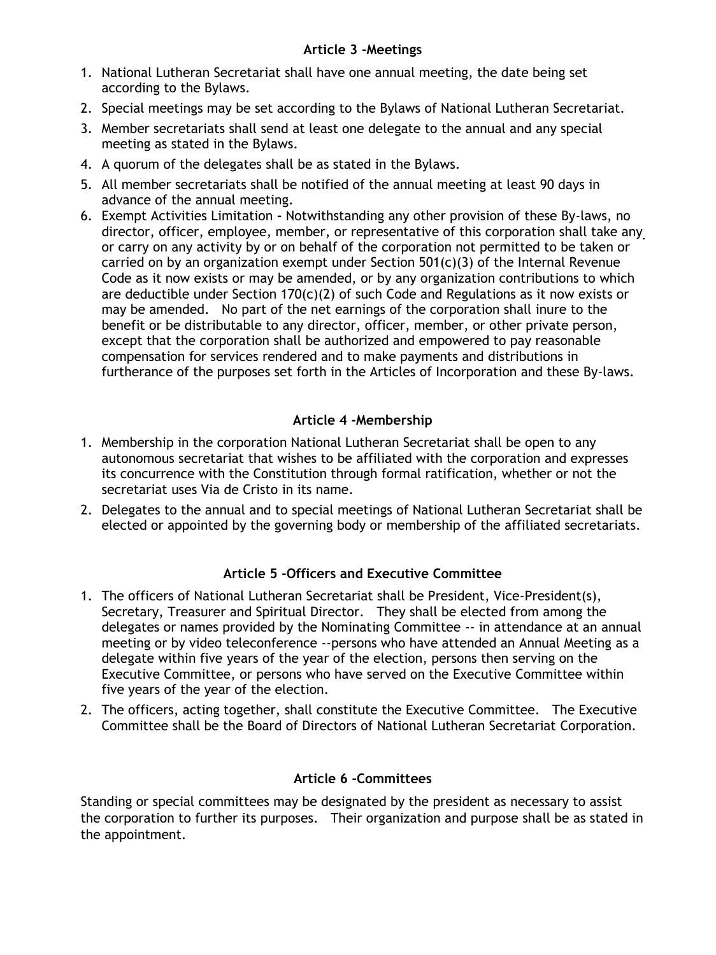- 1. National Lutheran Secretariat shall have one annual meeting, the date being set according to the Bylaws.
- 2. Special meetings may be set according to the Bylaws of National Lutheran Secretariat.
- 3. Member secretariats shall send at least one delegate to the annual and any special meeting as stated in the Bylaws.
- 4. A quorum of the delegates shall be as stated in the Bylaws.
- 5. All member secretariats shall be notified of the annual meeting at least 90 days in advance of the annual meeting.
- 6. Exempt Activities Limitation **-** Notwithstanding any other provision of these By-laws, no director, officer, employee, member, or representative of this corporation shall take any or carry on any activity by or on behalf of the corporation not permitted to be taken or carried on by an organization exempt under Section 501(c)(3) of the Internal Revenue Code as it now exists or may be amended, or by any organization contributions to which are deductible under Section  $170(c)(2)$  of such Code and Regulations as it now exists or may be amended. No part of the net earnings of the corporation shall inure to the benefit or be distributable to any director, officer, member, or other private person, except that the corporation shall be authorized and empowered to pay reasonable compensation for services rendered and to make payments and distributions in furtherance of the purposes set forth in the Articles of Incorporation and these By-laws.

## **Article 4 -Membership**

- 1. Membership in the corporation National Lutheran Secretariat shall be open to any autonomous secretariat that wishes to be affiliated with the corporation and expresses its concurrence with the Constitution through formal ratification, whether or not the secretariat uses Via de Cristo in its name.
- 2. Delegates to the annual and to special meetings of National Lutheran Secretariat shall be elected or appointed by the governing body or membership of the affiliated secretariats.

## **Article 5 -Officers and Executive Committee**

- 1. The officers of National Lutheran Secretariat shall be President, Vice-President(s), Secretary, Treasurer and Spiritual Director. They shall be elected from among the delegates or names provided by the Nominating Committee -- in attendance at an annual meeting or by video teleconference --persons who have attended an Annual Meeting as a delegate within five years of the year of the election, persons then serving on the Executive Committee, or persons who have served on the Executive Committee within five years of the year of the election.
- 2. The officers, acting together, shall constitute the Executive Committee. The Executive Committee shall be the Board of Directors of National Lutheran Secretariat Corporation.

## **Article 6 -Committees**

Standing or special committees may be designated by the president as necessary to assist the corporation to further its purposes. Their organization and purpose shall be as stated in the appointment.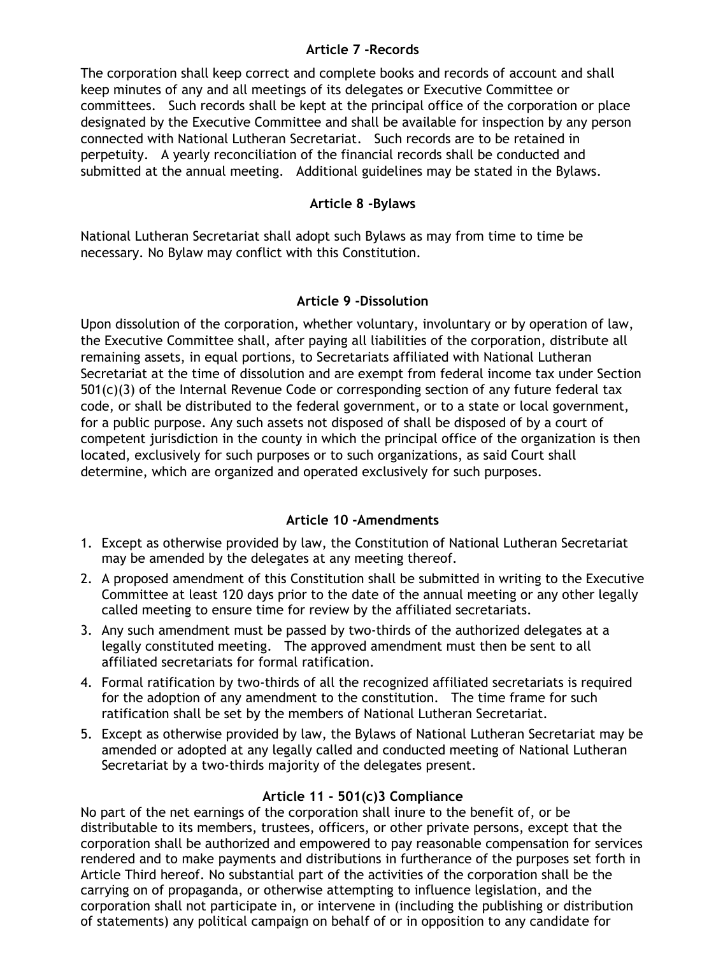#### **Article 7 -Records**

The corporation shall keep correct and complete books and records of account and shall keep minutes of any and all meetings of its delegates or Executive Committee or committees. Such records shall be kept at the principal office of the corporation or place designated by the Executive Committee and shall be available for inspection by any person connected with National Lutheran Secretariat. Such records are to be retained in perpetuity. A yearly reconciliation of the financial records shall be conducted and submitted at the annual meeting. Additional guidelines may be stated in the Bylaws.

#### **Article 8 -Bylaws**

National Lutheran Secretariat shall adopt such Bylaws as may from time to time be necessary. No Bylaw may conflict with this Constitution.

#### **Article 9 -Dissolution**

Upon dissolution of the corporation, whether voluntary, involuntary or by operation of law, the Executive Committee shall, after paying all liabilities of the corporation, distribute all remaining assets, in equal portions, to Secretariats affiliated with National Lutheran Secretariat at the time of dissolution and are exempt from federal income tax under Section 501(c)(3) of the Internal Revenue Code or corresponding section of any future federal tax code, or shall be distributed to the federal government, or to a state or local government, for a public purpose. Any such assets not disposed of shall be disposed of by a court of competent jurisdiction in the county in which the principal office of the organization is then located, exclusively for such purposes or to such organizations, as said Court shall determine, which are organized and operated exclusively for such purposes.

### **Article 10 -Amendments**

- 1. Except as otherwise provided by law, the Constitution of National Lutheran Secretariat may be amended by the delegates at any meeting thereof.
- 2. A proposed amendment of this Constitution shall be submitted in writing to the Executive Committee at least 120 days prior to the date of the annual meeting or any other legally called meeting to ensure time for review by the affiliated secretariats.
- 3. Any such amendment must be passed by two-thirds of the authorized delegates at a legally constituted meeting. The approved amendment must then be sent to all affiliated secretariats for formal ratification.
- 4. Formal ratification by two-thirds of all the recognized affiliated secretariats is required for the adoption of any amendment to the constitution. The time frame for such ratification shall be set by the members of National Lutheran Secretariat.
- 5. Except as otherwise provided by law, the Bylaws of National Lutheran Secretariat may be amended or adopted at any legally called and conducted meeting of National Lutheran Secretariat by a two-thirds majority of the delegates present.

### **Article 11 - 501(c)3 Compliance**

No part of the net earnings of the corporation shall inure to the benefit of, or be distributable to its members, trustees, officers, or other private persons, except that the corporation shall be authorized and empowered to pay reasonable compensation for services rendered and to make payments and distributions in furtherance of the purposes set forth in Article Third hereof. No substantial part of the activities of the corporation shall be the carrying on of propaganda, or otherwise attempting to influence legislation, and the corporation shall not participate in, or intervene in (including the publishing or distribution of statements) any political campaign on behalf of or in opposition to any candidate for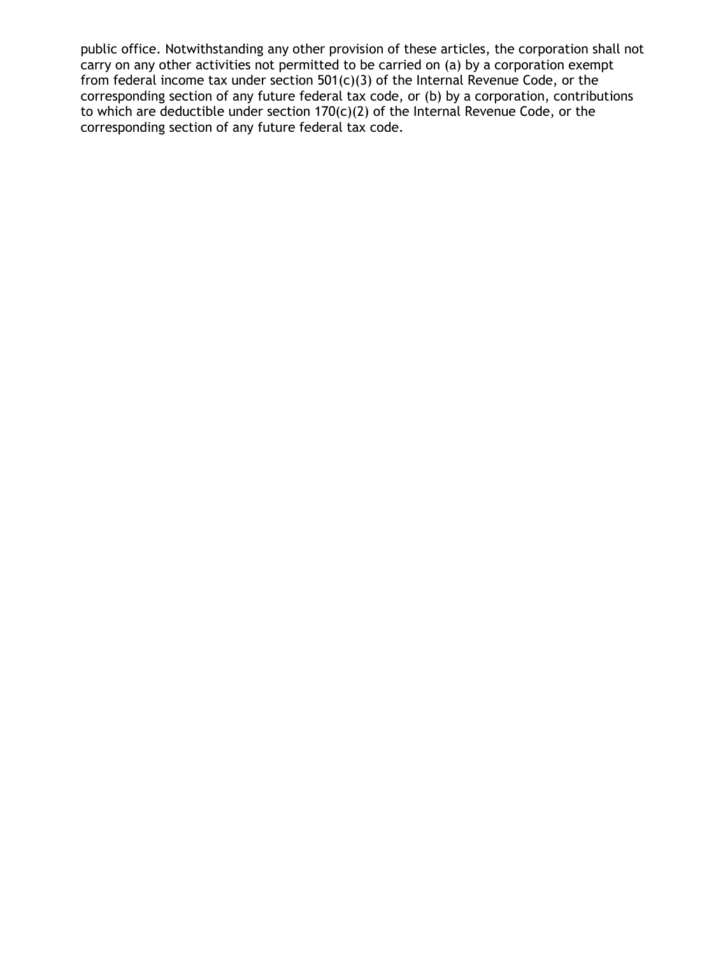public office. Notwithstanding any other provision of these articles, the corporation shall not carry on any other activities not permitted to be carried on (a) by a corporation exempt from federal income tax under section 501(c)(3) of the Internal Revenue Code, or the corresponding section of any future federal tax code, or (b) by a corporation, contributions to which are deductible under section 170(c)(2) of the Internal Revenue Code, or the corresponding section of any future federal tax code.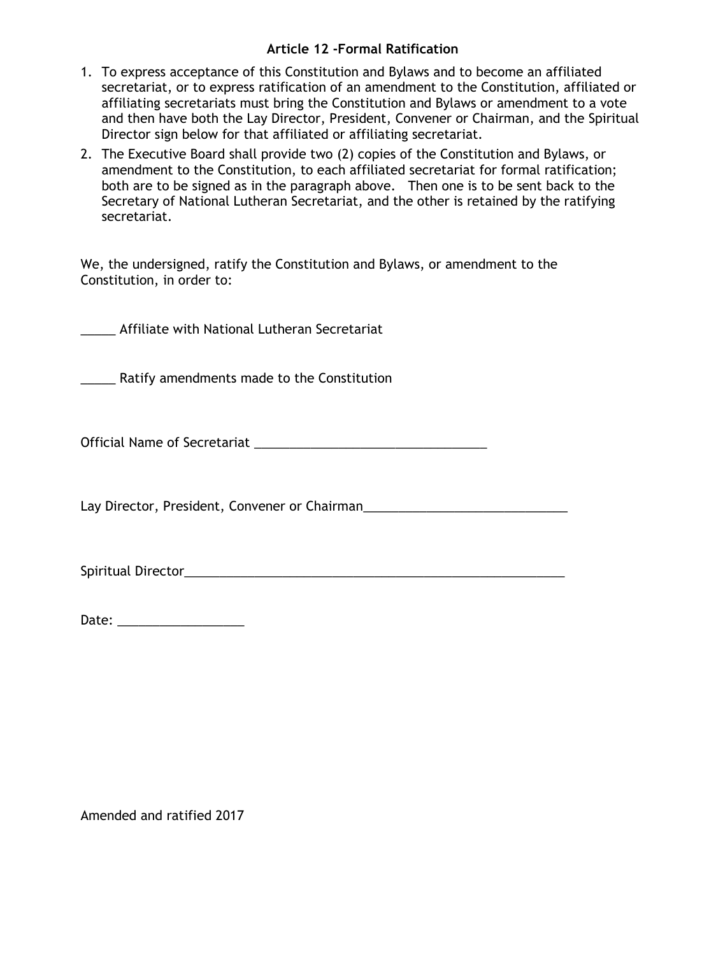#### **Article 12 -Formal Ratification**

- 1. To express acceptance of this Constitution and Bylaws and to become an affiliated secretariat, or to express ratification of an amendment to the Constitution, affiliated or affiliating secretariats must bring the Constitution and Bylaws or amendment to a vote and then have both the Lay Director, President, Convener or Chairman, and the Spiritual Director sign below for that affiliated or affiliating secretariat.
- 2. The Executive Board shall provide two (2) copies of the Constitution and Bylaws, or amendment to the Constitution, to each affiliated secretariat for formal ratification; both are to be signed as in the paragraph above. Then one is to be sent back to the Secretary of National Lutheran Secretariat, and the other is retained by the ratifying secretariat.

We, the undersigned, ratify the Constitution and Bylaws, or amendment to the Constitution, in order to:

\_\_\_\_\_ Affiliate with National Lutheran Secretariat

\_\_\_\_\_ Ratify amendments made to the Constitution

Official Name of Secretariat \_\_\_\_\_\_\_\_\_\_\_\_\_\_\_\_\_\_\_\_\_\_\_\_\_\_\_\_\_\_\_\_\_

Lay Director, President, Convener or Chairman

Spiritual Director\_\_\_\_\_\_\_\_\_\_\_\_\_\_\_\_\_\_\_\_\_\_\_\_\_\_\_\_\_\_\_\_\_\_\_\_\_\_\_\_\_\_\_\_\_\_\_\_\_\_\_\_\_\_

Date: \_\_\_\_\_\_\_\_\_\_\_\_\_\_\_\_\_\_

Amended and ratified 2017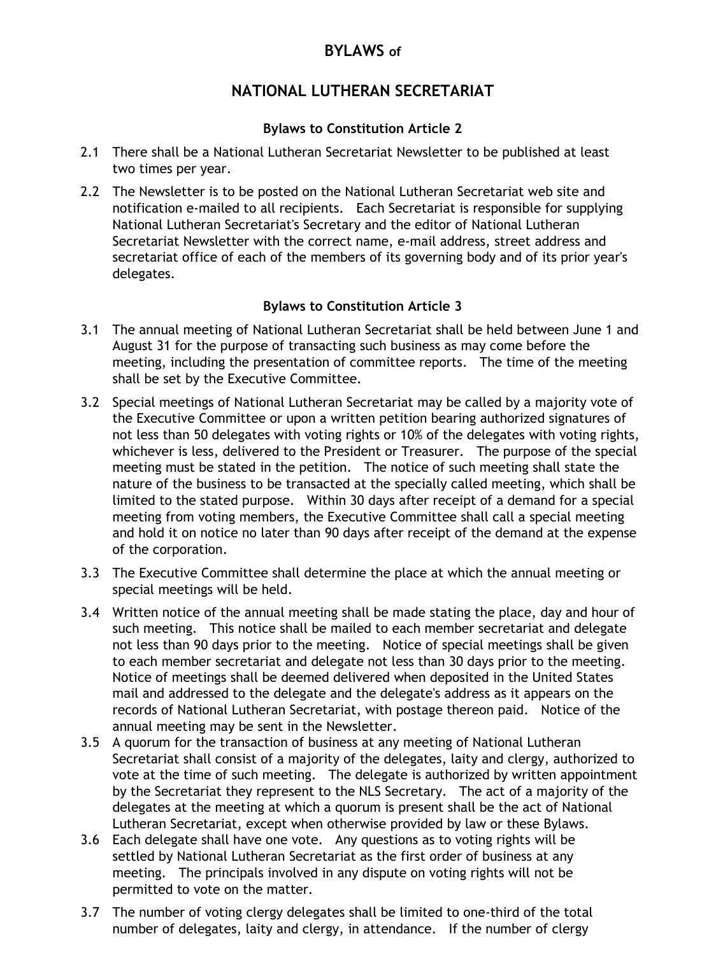# **BYLAWS of**

# **NATIONAL LUTHERAN SECRETARIAT**

### **Bylaws to Constitution Article 2**

- 2.1 There shall be a National Lutheran Secretariat Newsletter to be published at least two times per year.
- 2.2 The Newsletter is to be posted on the National Lutheran Secretariat web site and notification e-mailed to all recipients. Each Secretariat is responsible for supplying National Lutheran Secretariat's Secretary and the editor of National Lutheran Secretariat Newsletter with the correct name, e-mail address, street address and secretariat office of each of the members of its governing body and of its prior year's delegates.

## **Bylaws to Constitution Article 3**

- 3.1 The annual meeting of National Lutheran Secretariat shall be held between June 1 and August 31 for the purpose of transacting such business as may come before the meeting, including the presentation of committee reports. The time of the meeting shall be set by the Executive Committee.
- 3.2 Special meetings of National Lutheran Secretariat may be called by a majority vote of the Executive Committee or upon a written petition bearing authorized signatures of not less than 50 delegates with voting rights or 10% of the delegates with voting rights, whichever is less, delivered to the President or Treasurer. The purpose of the special meeting must be stated in the petition. The notice of such meeting shall state the nature of the business to be transacted at the specially called meeting, which shall be limited to the stated purpose. Within 30 days after receipt of a demand for a special meeting from voting members, the Executive Committee shall call a special meeting and hold it on notice no later than 90 days after receipt of the demand at the expense of the corporation.
- 3.3 The Executive Committee shall determine the place at which the annual meeting or special meetings will be held.
- 3.4 Written notice of the annual meeting shall be made stating the place, day and hour of such meeting. This notice shall be mailed to each member secretariat and delegate not less than 90 days prior to the meeting. Notice of special meetings shall be given to each member secretariat and delegate not less than 30 days prior to the meeting. Notice of meetings shall be deemed delivered when deposited in the United States mail and addressed to the delegate and the delegate's address as it appears on the records of National Lutheran Secretariat, with postage thereon paid. Notice of the annual meeting may be sent in the Newsletter.
- 3.5 A quorum for the transaction of business at any meeting of National Lutheran Secretariat shall consist of a majority of the delegates, laity and clergy, authorized to vote at the time of such meeting. The delegate is authorized by written appointment by the Secretariat they represent to the NLS Secretary. The act of a majority of the delegates at the meeting at which a quorum is present shall be the act of National Lutheran Secretariat, except when otherwise provided by law or these Bylaws.
- 3.6 Each delegate shall have one vote. Any questions as to voting rights will be settled by National Lutheran Secretariat as the first order of business at any meeting. The principals involved in any dispute on voting rights will not be permitted to vote on the matter.
- 3.7 The number of voting clergy delegates shall be limited to one-third of the total number of delegates, laity and clergy, in attendance. If the number of clergy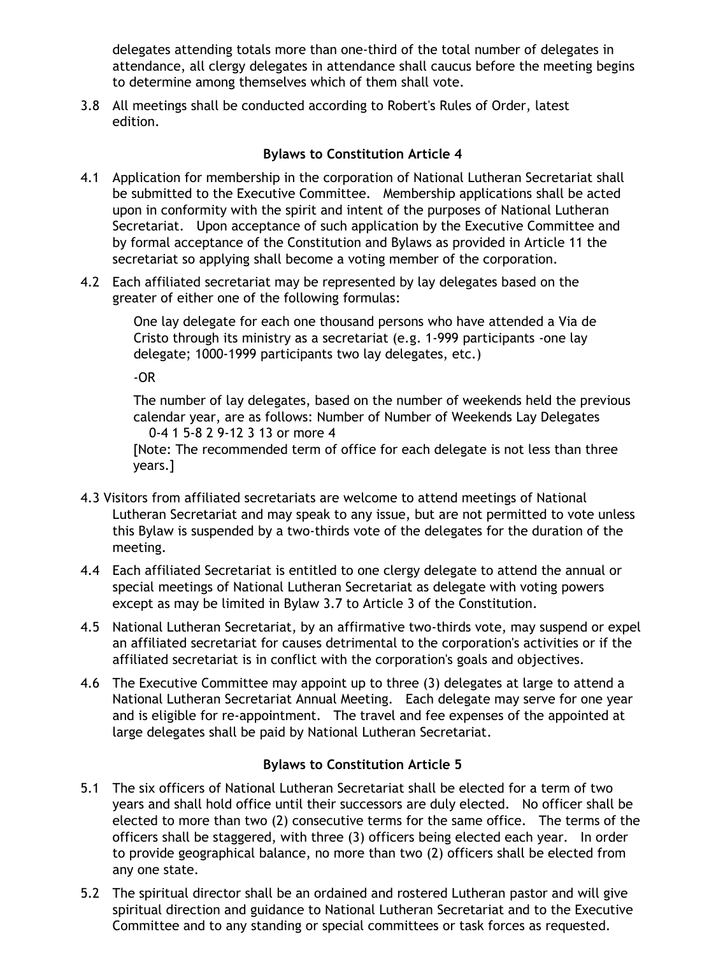delegates attending totals more than one-third of the total number of delegates in attendance, all clergy delegates in attendance shall caucus before the meeting begins to determine among themselves which of them shall vote.

3.8 All meetings shall be conducted according to Robert's Rules of Order, latest edition.

## **Bylaws to Constitution Article 4**

- 4.1 Application for membership in the corporation of National Lutheran Secretariat shall be submitted to the Executive Committee. Membership applications shall be acted upon in conformity with the spirit and intent of the purposes of National Lutheran Secretariat. Upon acceptance of such application by the Executive Committee and by formal acceptance of the Constitution and Bylaws as provided in Article 11 the secretariat so applying shall become a voting member of the corporation.
- 4.2 Each affiliated secretariat may be represented by lay delegates based on the greater of either one of the following formulas:

One lay delegate for each one thousand persons who have attended a Via de Cristo through its ministry as a secretariat (e.g. 1-999 participants -one lay delegate; 1000-1999 participants two lay delegates, etc.)

-OR

The number of lay delegates, based on the number of weekends held the previous calendar year, are as follows: Number of Number of Weekends Lay Delegates 0-4 1 5-8 2 9-12 3 13 or more 4

[Note: The recommended term of office for each delegate is not less than three years.]

- 4.3 Visitors from affiliated secretariats are welcome to attend meetings of National Lutheran Secretariat and may speak to any issue, but are not permitted to vote unless this Bylaw is suspended by a two-thirds vote of the delegates for the duration of the meeting.
- 4.4 Each affiliated Secretariat is entitled to one clergy delegate to attend the annual or special meetings of National Lutheran Secretariat as delegate with voting powers except as may be limited in Bylaw 3.7 to Article 3 of the Constitution.
- 4.5 National Lutheran Secretariat, by an affirmative two-thirds vote, may suspend or expel an affiliated secretariat for causes detrimental to the corporation's activities or if the affiliated secretariat is in conflict with the corporation's goals and objectives.
- 4.6 The Executive Committee may appoint up to three (3) delegates at large to attend a National Lutheran Secretariat Annual Meeting. Each delegate may serve for one year and is eligible for re-appointment. The travel and fee expenses of the appointed at large delegates shall be paid by National Lutheran Secretariat.

## **Bylaws to Constitution Article 5**

- 5.1 The six officers of National Lutheran Secretariat shall be elected for a term of two years and shall hold office until their successors are duly elected. No officer shall be elected to more than two (2) consecutive terms for the same office. The terms of the officers shall be staggered, with three (3) officers being elected each year. In order to provide geographical balance, no more than two (2) officers shall be elected from any one state.
- 5.2 The spiritual director shall be an ordained and rostered Lutheran pastor and will give spiritual direction and guidance to National Lutheran Secretariat and to the Executive Committee and to any standing or special committees or task forces as requested.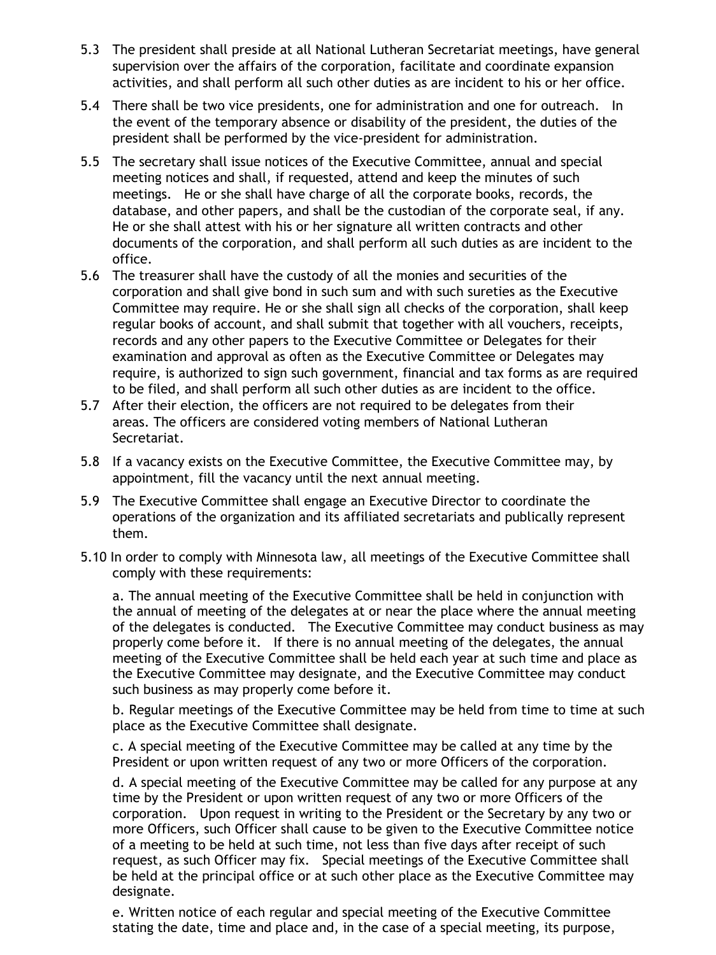- 5.3 The president shall preside at all National Lutheran Secretariat meetings, have general supervision over the affairs of the corporation, facilitate and coordinate expansion activities, and shall perform all such other duties as are incident to his or her office.
- 5.4 There shall be two vice presidents, one for administration and one for outreach. In the event of the temporary absence or disability of the president, the duties of the president shall be performed by the vice-president for administration.
- 5.5 The secretary shall issue notices of the Executive Committee, annual and special meeting notices and shall, if requested, attend and keep the minutes of such meetings. He or she shall have charge of all the corporate books, records, the database, and other papers, and shall be the custodian of the corporate seal, if any. He or she shall attest with his or her signature all written contracts and other documents of the corporation, and shall perform all such duties as are incident to the office.
- 5.6 The treasurer shall have the custody of all the monies and securities of the corporation and shall give bond in such sum and with such sureties as the Executive Committee may require. He or she shall sign all checks of the corporation, shall keep regular books of account, and shall submit that together with all vouchers, receipts, records and any other papers to the Executive Committee or Delegates for their examination and approval as often as the Executive Committee or Delegates may require, is authorized to sign such government, financial and tax forms as are required to be filed, and shall perform all such other duties as are incident to the office.
- 5.7 After their election, the officers are not required to be delegates from their areas. The officers are considered voting members of National Lutheran Secretariat.
- 5.8 If a vacancy exists on the Executive Committee, the Executive Committee may, by appointment, fill the vacancy until the next annual meeting.
- 5.9 The Executive Committee shall engage an Executive Director to coordinate the operations of the organization and its affiliated secretariats and publically represent them.
- 5.10 In order to comply with Minnesota law, all meetings of the Executive Committee shall comply with these requirements:

a. The annual meeting of the Executive Committee shall be held in conjunction with the annual of meeting of the delegates at or near the place where the annual meeting of the delegates is conducted. The Executive Committee may conduct business as may properly come before it. If there is no annual meeting of the delegates, the annual meeting of the Executive Committee shall be held each year at such time and place as the Executive Committee may designate, and the Executive Committee may conduct such business as may properly come before it.

b. Regular meetings of the Executive Committee may be held from time to time at such place as the Executive Committee shall designate.

c. A special meeting of the Executive Committee may be called at any time by the President or upon written request of any two or more Officers of the corporation.

d. A special meeting of the Executive Committee may be called for any purpose at any time by the President or upon written request of any two or more Officers of the corporation. Upon request in writing to the President or the Secretary by any two or more Officers, such Officer shall cause to be given to the Executive Committee notice of a meeting to be held at such time, not less than five days after receipt of such request, as such Officer may fix. Special meetings of the Executive Committee shall be held at the principal office or at such other place as the Executive Committee may designate.

e. Written notice of each regular and special meeting of the Executive Committee stating the date, time and place and, in the case of a special meeting, its purpose,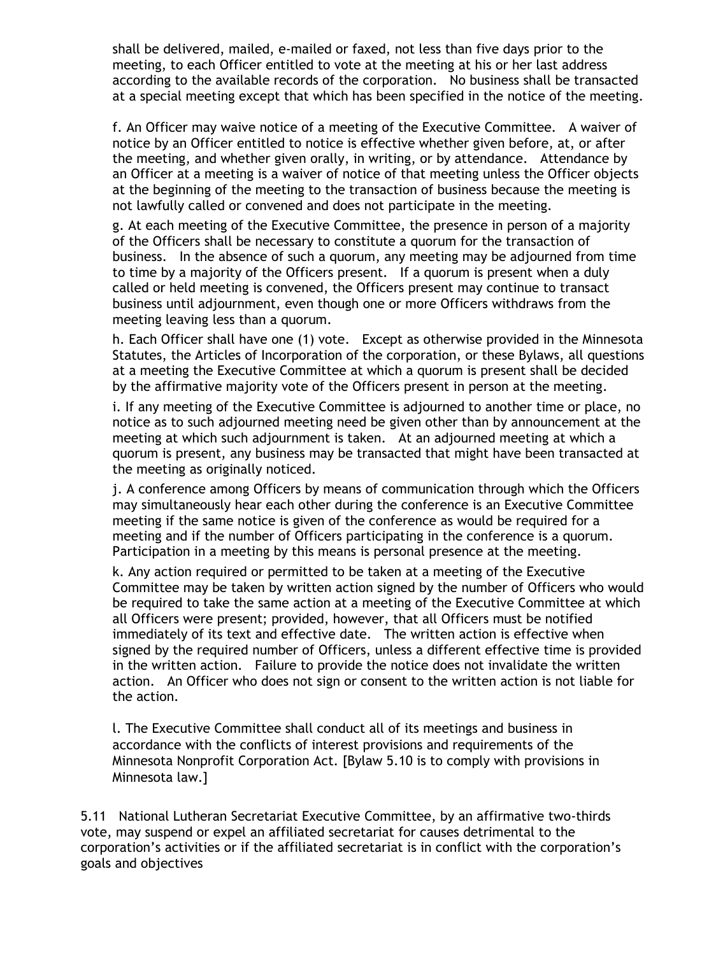shall be delivered, mailed, e-mailed or faxed, not less than five days prior to the meeting, to each Officer entitled to vote at the meeting at his or her last address according to the available records of the corporation. No business shall be transacted at a special meeting except that which has been specified in the notice of the meeting.

f. An Officer may waive notice of a meeting of the Executive Committee. A waiver of notice by an Officer entitled to notice is effective whether given before, at, or after the meeting, and whether given orally, in writing, or by attendance. Attendance by an Officer at a meeting is a waiver of notice of that meeting unless the Officer objects at the beginning of the meeting to the transaction of business because the meeting is not lawfully called or convened and does not participate in the meeting.

g. At each meeting of the Executive Committee, the presence in person of a majority of the Officers shall be necessary to constitute a quorum for the transaction of business. In the absence of such a quorum, any meeting may be adjourned from time to time by a majority of the Officers present. If a quorum is present when a duly called or held meeting is convened, the Officers present may continue to transact business until adjournment, even though one or more Officers withdraws from the meeting leaving less than a quorum.

h. Each Officer shall have one (1) vote. Except as otherwise provided in the Minnesota Statutes, the Articles of Incorporation of the corporation, or these Bylaws, all questions at a meeting the Executive Committee at which a quorum is present shall be decided by the affirmative majority vote of the Officers present in person at the meeting.

i. If any meeting of the Executive Committee is adjourned to another time or place, no notice as to such adjourned meeting need be given other than by announcement at the meeting at which such adjournment is taken. At an adjourned meeting at which a quorum is present, any business may be transacted that might have been transacted at the meeting as originally noticed.

j. A conference among Officers by means of communication through which the Officers may simultaneously hear each other during the conference is an Executive Committee meeting if the same notice is given of the conference as would be required for a meeting and if the number of Officers participating in the conference is a quorum. Participation in a meeting by this means is personal presence at the meeting.

k. Any action required or permitted to be taken at a meeting of the Executive Committee may be taken by written action signed by the number of Officers who would be required to take the same action at a meeting of the Executive Committee at which all Officers were present; provided, however, that all Officers must be notified immediately of its text and effective date. The written action is effective when signed by the required number of Officers, unless a different effective time is provided in the written action. Failure to provide the notice does not invalidate the written action. An Officer who does not sign or consent to the written action is not liable for the action.

l. The Executive Committee shall conduct all of its meetings and business in accordance with the conflicts of interest provisions and requirements of the Minnesota Nonprofit Corporation Act. [Bylaw 5.10 is to comply with provisions in Minnesota law.]

5.11 National Lutheran Secretariat Executive Committee, by an affirmative two-thirds vote, may suspend or expel an affiliated secretariat for causes detrimental to the corporation's activities or if the affiliated secretariat is in conflict with the corporation's goals and objectives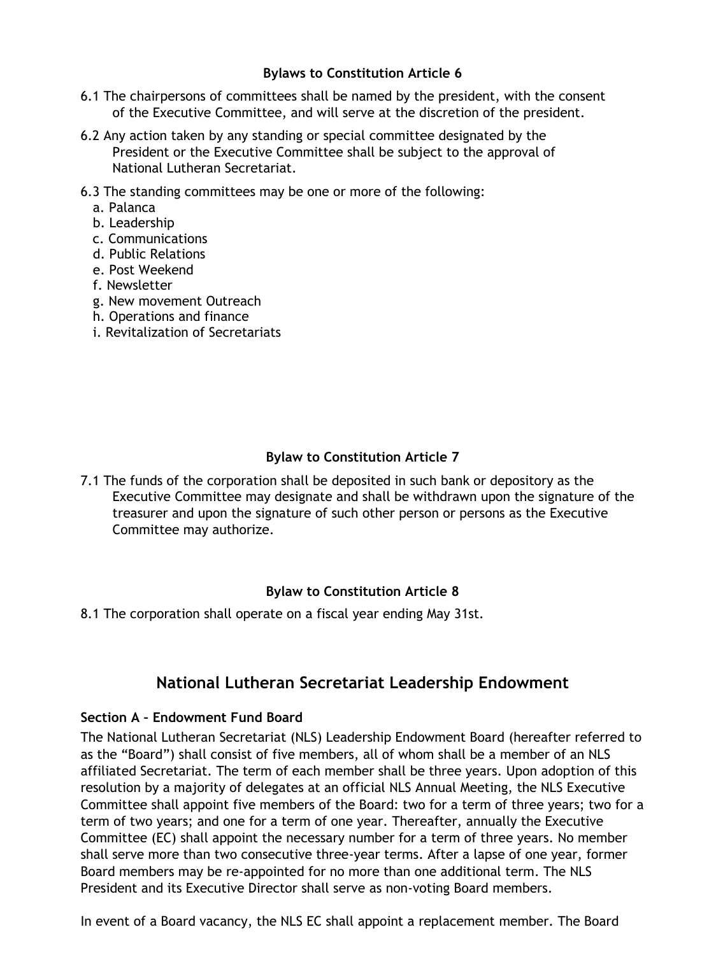### **Bylaws to Constitution Article 6**

- 6.1 The chairpersons of committees shall be named by the president, with the consent of the Executive Committee, and will serve at the discretion of the president.
- 6.2 Any action taken by any standing or special committee designated by the President or the Executive Committee shall be subject to the approval of National Lutheran Secretariat.
- 6.3 The standing committees may be one or more of the following:
	- a. Palanca
	- b. Leadership
	- c. Communications
	- d. Public Relations
	- e. Post Weekend
	- f. Newsletter
	- g. New movement Outreach
	- h. Operations and finance
	- i. Revitalization of Secretariats

### **Bylaw to Constitution Article 7**

7.1 The funds of the corporation shall be deposited in such bank or depository as the Executive Committee may designate and shall be withdrawn upon the signature of the treasurer and upon the signature of such other person or persons as the Executive Committee may authorize.

### **Bylaw to Constitution Article 8**

8.1 The corporation shall operate on a fiscal year ending May 31st.

# **National Lutheran Secretariat Leadership Endowment**

### **Section A – Endowment Fund Board**

The National Lutheran Secretariat (NLS) Leadership Endowment Board (hereafter referred to as the "Board") shall consist of five members, all of whom shall be a member of an NLS affiliated Secretariat. The term of each member shall be three years. Upon adoption of this resolution by a majority of delegates at an official NLS Annual Meeting, the NLS Executive Committee shall appoint five members of the Board: two for a term of three years; two for a term of two years; and one for a term of one year. Thereafter, annually the Executive Committee (EC) shall appoint the necessary number for a term of three years. No member shall serve more than two consecutive three-year terms. After a lapse of one year, former Board members may be re-appointed for no more than one additional term. The NLS President and its Executive Director shall serve as non-voting Board members.

In event of a Board vacancy, the NLS EC shall appoint a replacement member. The Board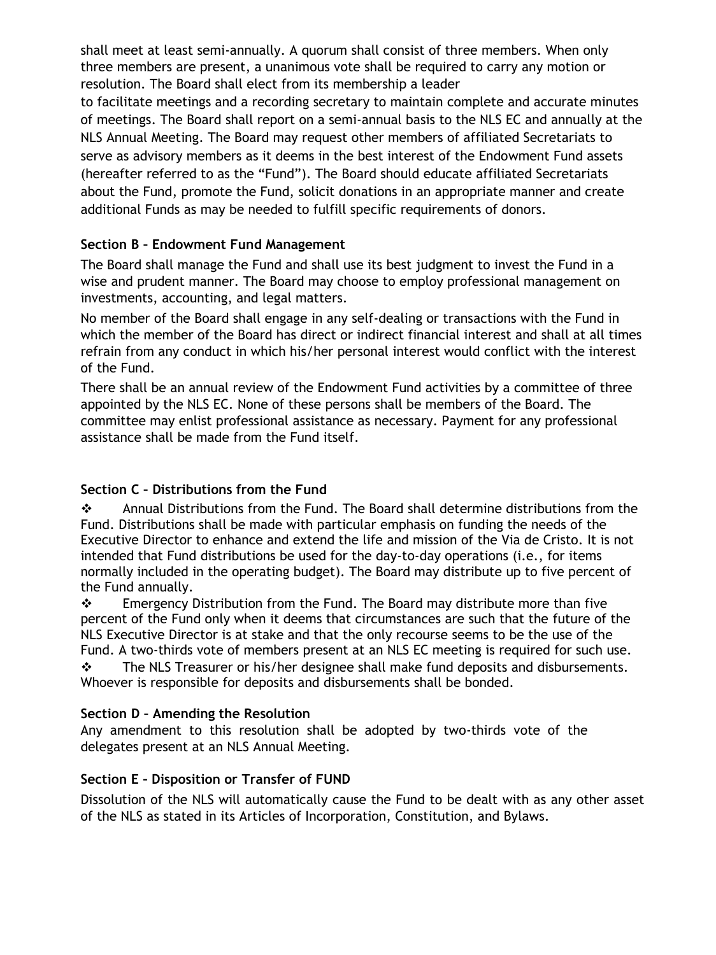shall meet at least semi-annually. A quorum shall consist of three members. When only three members are present, a unanimous vote shall be required to carry any motion or resolution. The Board shall elect from its membership a leader

to facilitate meetings and a recording secretary to maintain complete and accurate minutes of meetings. The Board shall report on a semi-annual basis to the NLS EC and annually at the NLS Annual Meeting. The Board may request other members of affiliated Secretariats to serve as advisory members as it deems in the best interest of the Endowment Fund assets (hereafter referred to as the "Fund"). The Board should educate affiliated Secretariats about the Fund, promote the Fund, solicit donations in an appropriate manner and create additional Funds as may be needed to fulfill specific requirements of donors.

## **Section B – Endowment Fund Management**

The Board shall manage the Fund and shall use its best judgment to invest the Fund in a wise and prudent manner. The Board may choose to employ professional management on investments, accounting, and legal matters.

No member of the Board shall engage in any self-dealing or transactions with the Fund in which the member of the Board has direct or indirect financial interest and shall at all times refrain from any conduct in which his/her personal interest would conflict with the interest of the Fund.

There shall be an annual review of the Endowment Fund activities by a committee of three appointed by the NLS EC. None of these persons shall be members of the Board. The committee may enlist professional assistance as necessary. Payment for any professional assistance shall be made from the Fund itself.

## **Section C – Distributions from the Fund**

 Annual Distributions from the Fund. The Board shall determine distributions from the Fund. Distributions shall be made with particular emphasis on funding the needs of the Executive Director to enhance and extend the life and mission of the Via de Cristo. It is not intended that Fund distributions be used for the day-to-day operations (i.e., for items normally included in the operating budget). The Board may distribute up to five percent of the Fund annually.

 $\div$  Emergency Distribution from the Fund. The Board may distribute more than five percent of the Fund only when it deems that circumstances are such that the future of the NLS Executive Director is at stake and that the only recourse seems to be the use of the Fund. A two-thirds vote of members present at an NLS EC meeting is required for such use.

 $\div$  The NLS Treasurer or his/her designee shall make fund deposits and disbursements. Whoever is responsible for deposits and disbursements shall be bonded.

### **Section D – Amending the Resolution**

Any amendment to this resolution shall be adopted by two-thirds vote of the delegates present at an NLS Annual Meeting.

### **Section E – Disposition or Transfer of FUND**

Dissolution of the NLS will automatically cause the Fund to be dealt with as any other asset of the NLS as stated in its Articles of Incorporation, Constitution, and Bylaws.